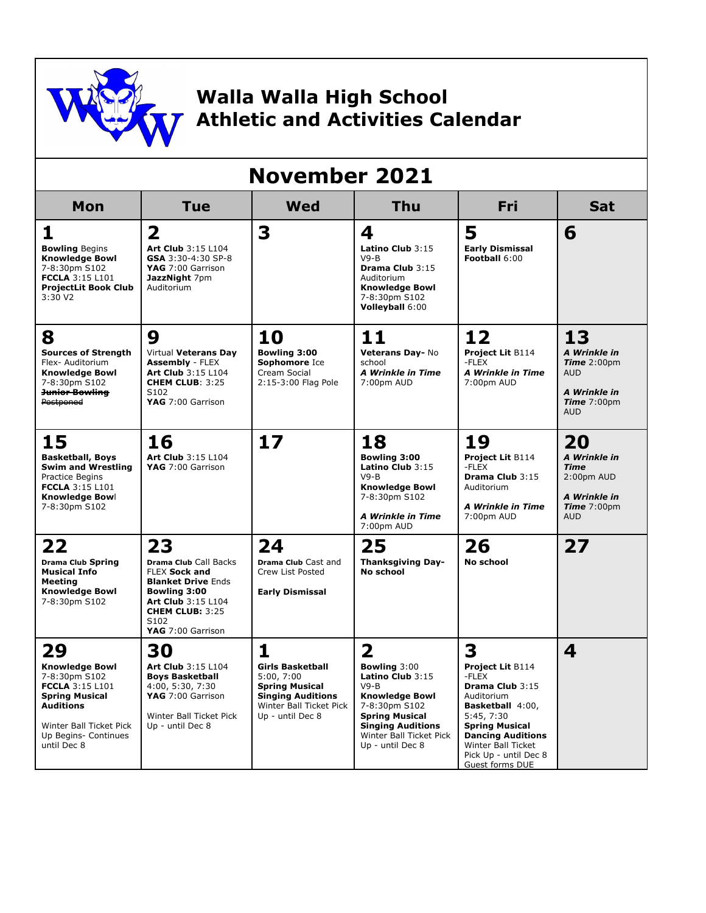

## **Walla Walla High School Athletic and Activities Calendar**

| <b>November 2021</b>                                                                                                                                                                  |                                                                                                                                                                                      |                                                                                                                                                |                                                                                                                                                                                                                            |                                                                                                                                                                                                                                 |                                                                                                                                |
|---------------------------------------------------------------------------------------------------------------------------------------------------------------------------------------|--------------------------------------------------------------------------------------------------------------------------------------------------------------------------------------|------------------------------------------------------------------------------------------------------------------------------------------------|----------------------------------------------------------------------------------------------------------------------------------------------------------------------------------------------------------------------------|---------------------------------------------------------------------------------------------------------------------------------------------------------------------------------------------------------------------------------|--------------------------------------------------------------------------------------------------------------------------------|
| Mon                                                                                                                                                                                   | <b>Tue</b>                                                                                                                                                                           | <b>Wed</b>                                                                                                                                     | <b>Thu</b>                                                                                                                                                                                                                 | <b>Fri</b>                                                                                                                                                                                                                      | <b>Sat</b>                                                                                                                     |
| 1<br><b>Bowling Begins</b><br><b>Knowledge Bowl</b><br>7-8:30pm S102<br><b>FCCLA 3:15 L101</b><br><b>ProjectLit Book Club</b><br>3:30 V2                                              | $\overline{\mathbf{2}}$<br>Art Club 3:15 L104<br>GSA 3:30-4:30 SP-8<br>YAG 7:00 Garrison<br>JazzNight 7pm<br>Auditorium                                                              | 3                                                                                                                                              | 4<br>Latino Club 3:15<br>$V9 - B$<br>Drama Club 3:15<br>Auditorium<br><b>Knowledge Bowl</b><br>7-8:30pm S102<br>Volleyball 6:00                                                                                            | 5<br><b>Early Dismissal</b><br>Football 6:00                                                                                                                                                                                    | 6                                                                                                                              |
| 8<br><b>Sources of Strength</b><br>Flex- Auditorium<br><b>Knowledge Bowl</b><br>7-8:30pm S102<br><b>Junior Bowling</b><br>Postponed                                                   | 9<br>Virtual Veterans Day<br><b>Assembly - FLEX</b><br>Art Club 3:15 L104<br>CHEM CLUB: 3:25<br>S <sub>102</sub><br>YAG 7:00 Garrison                                                | 10<br>Bowling 3:00<br>Sophomore Ice<br>Cream Social<br>2:15-3:00 Flag Pole                                                                     | 11<br>Veterans Day- No<br>school<br><b>A Wrinkle in Time</b><br>7:00pm AUD                                                                                                                                                 | 12<br><b>Project Lit B114</b><br>-FLEX<br><b>A Wrinkle in Time</b><br>7:00pm AUD                                                                                                                                                | 13<br>A Wrinkle in<br><b>Time</b> $2:00 \text{pm}$<br><b>AUD</b><br>A Wrinkle in<br><b>Time</b> $7:00 \text{pm}$<br><b>AUD</b> |
| 15<br><b>Basketball, Boys</b><br><b>Swim and Wrestling</b><br>Practice Begins<br><b>FCCLA 3:15 L101</b><br>Knowledge Bowl<br>7-8:30pm S102                                            | 16<br><b>Art Club 3:15 L104</b><br>YAG 7:00 Garrison                                                                                                                                 | 17                                                                                                                                             | 18<br><b>Bowling 3:00</b><br>Latino Club 3:15<br>$V9 - B$<br><b>Knowledge Bowl</b><br>7-8:30pm S102<br><b>A Wrinkle in Time</b><br>7:00pm AUD                                                                              | 19<br><b>Project Lit B114</b><br>-FLEX<br>Drama Club 3:15<br>Auditorium<br><b>A Wrinkle in Time</b><br>7:00pm AUD                                                                                                               | 20<br>A Wrinkle in<br><b>Time</b><br>2:00pm AUD<br>A Wrinkle in<br><b>Time</b> $7:00 \text{pm}$<br><b>AUD</b>                  |
| 22<br><b>Drama Club Spring</b><br><b>Musical Info</b><br><b>Meeting</b><br><b>Knowledge Bowl</b><br>7-8:30pm S102                                                                     | 23<br><b>Drama Club Call Backs</b><br><b>FLEX Sock and</b><br><b>Blanket Drive Ends</b><br>Bowling 3:00<br>Art Club 3:15 L104<br><b>CHEM CLUB: 3:25</b><br>S102<br>YAG 7:00 Garrison | 24<br><b>Drama Club Cast and</b><br>Crew List Posted<br><b>Early Dismissal</b>                                                                 | 25<br><b>Thanksgiving Day-</b><br><b>No school</b>                                                                                                                                                                         | 26<br><b>No school</b>                                                                                                                                                                                                          | 27                                                                                                                             |
| 29<br><b>Knowledge Bowl</b><br>7-8:30pm S102<br><b>FCCLA 3:15 L101</b><br><b>Spring Musical</b><br><b>Auditions</b><br>Winter Ball Ticket Pick<br>Up Begins- Continues<br>until Dec 8 | 30<br><b>Art Club 3:15 L104</b><br><b>Boys Basketball</b><br>4:00, 5:30, 7:30<br>YAG 7:00 Garrison<br>Winter Ball Ticket Pick<br>Up - until Dec 8                                    | 1<br><b>Girls Basketball</b><br>5:00, 7:00<br><b>Spring Musical</b><br><b>Singing Auditions</b><br>Winter Ball Ticket Pick<br>Up - until Dec 8 | $\overline{\mathbf{2}}$<br><b>Bowling 3:00</b><br>Latino Club 3:15<br>$V9-B$<br><b>Knowledge Bowl</b><br>7-8:30pm S102<br><b>Spring Musical</b><br><b>Singing Auditions</b><br>Winter Ball Ticket Pick<br>Up - until Dec 8 | 3<br><b>Project Lit B114</b><br>-FLEX<br>Drama Club 3:15<br>Auditorium<br>Basketball 4:00,<br>5:45, 7:30<br><b>Spring Musical</b><br><b>Dancing Auditions</b><br>Winter Ball Ticket<br>Pick Up - until Dec 8<br>Guest forms DUE | 4                                                                                                                              |